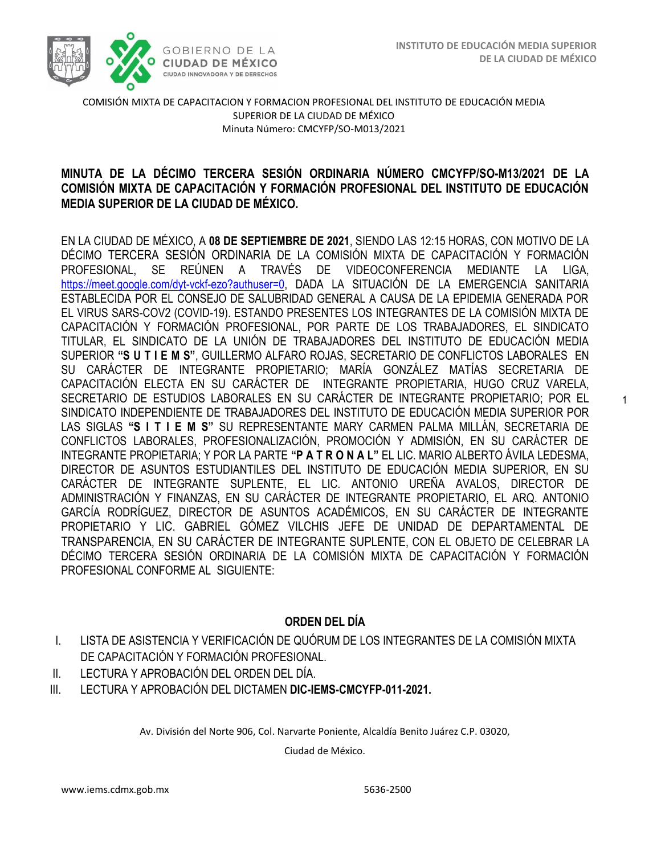

1

COMISIÓN MIXTA DE CAPACITACION Y FORMACION PROFESIONAL DEL INSTITUTO DE EDUCACIÓN MEDIA SUPERIOR DE LA CIUDAD DE MÉXICO Minuta Número: CMCYFP/SO-M013/2021

# /2020 **MINUTA DE LA DÉCIMO TERCERA SESIÓN ORDINARIA NÚMERO CMCYFP/SO-M13/2021 DE LA COMISIÓN MIXTA DE CAPACITACIÓN Y FORMACIÓN PROFESIONAL DEL INSTITUTO DE EDUCACIÓN MEDIA SUPERIOR DE LA CIUDAD DE MÉXICO.**

EN LA CIUDAD DE MÉXICO, A **08 DE SEPTIEMBRE DE 2021**, SIENDO LAS 12:15 HORAS, CON MOTIVO DE LA DÉCIMO TERCERA SESIÓN ORDINARIA DE LA COMISIÓN MIXTA DE CAPACITACIÓN Y FORMACIÓN PROFESIONAL, SE REÚNEN A TRAVÉS DE VIDEOCONFERENCIA MEDIANTE LA LIGA, [https://meet.google.com/dyt-vckf-ezo?authuser=0,](https://meet.google.com/dyt-vckf-ezo?authuser=0) DADA LA SITUACIÓN DE LA EMERGENCIA SANITARIA ESTABLECIDA POR EL CONSEJO DE SALUBRIDAD GENERAL A CAUSA DE LA EPIDEMIA GENERADA POR EL VIRUS SARS-COV2 (COVID-19). ESTANDO PRESENTES LOS INTEGRANTES DE LA COMISIÓN MIXTA DE CAPACITACIÓN Y FORMACIÓN PROFESIONAL, POR PARTE DE LOS TRABAJADORES, EL SINDICATO TITULAR, EL SINDICATO DE LA UNIÓN DE TRABAJADORES DEL INSTITUTO DE EDUCACIÓN MEDIA SUPERIOR **"S U T I E M S"**, GUILLERMO ALFARO ROJAS, SECRETARIO DE CONFLICTOS LABORALES EN SU CARÁCTER DE INTEGRANTE PROPIETARIO; MARÍA GONZÁLEZ MATÍAS SECRETARIA DE CAPACITACIÓN ELECTA EN SU CARÁCTER DE INTEGRANTE PROPIETARIA, HUGO CRUZ VARELA, SECRETARIO DE ESTUDIOS LABORALES EN SU CARÁCTER DE INTEGRANTE PROPIETARIO; POR EL SINDICATO INDEPENDIENTE DE TRABAJADORES DEL INSTITUTO DE EDUCACIÓN MEDIA SUPERIOR POR LAS SIGLAS **"S I T I E M S"** SU REPRESENTANTE MARY CARMEN PALMA MILLÁN, SECRETARIA DE CONFLICTOS LABORALES, PROFESIONALIZACIÓN, PROMOCIÓN Y ADMISIÓN, EN SU CARÁCTER DE INTEGRANTE PROPIETARIA; Y POR LA PARTE **"P A T R O N A L"** EL LIC. MARIO ALBERTO ÁVILA LEDESMA, DIRECTOR DE ASUNTOS ESTUDIANTILES DEL INSTITUTO DE EDUCACIÓN MEDIA SUPERIOR, EN SU CARÁCTER DE INTEGRANTE SUPLENTE, EL LIC. ANTONIO UREÑA AVALOS, DIRECTOR DE ADMINISTRACIÓN Y FINANZAS, EN SU CARÁCTER DE INTEGRANTE PROPIETARIO, EL ARQ. ANTONIO GARCÍA RODRÍGUEZ, DIRECTOR DE ASUNTOS ACADÉMICOS, EN SU CARÁCTER DE INTEGRANTE PROPIETARIO Y LIC. GABRIEL GÓMEZ VILCHIS JEFE DE UNIDAD DE DEPARTAMENTAL DE TRANSPARENCIA, EN SU CARÁCTER DE INTEGRANTE SUPLENTE, CON EL OBJETO DE CELEBRAR LA DÉCIMO TERCERA SESIÓN ORDINARIA DE LA COMISIÓN MIXTA DE CAPACITACIÓN Y FORMACIÓN PROFESIONAL CONFORME AL SIGUIENTE:

### **ORDEN DEL DÍA**

- I. LISTA DE ASISTENCIA Y VERIFICACIÓN DE QUÓRUM DE LOS INTEGRANTES DE LA COMISIÓN MIXTA DE CAPACITACIÓN Y FORMACIÓN PROFESIONAL.
- II. LECTURA Y APROBACIÓN DEL ORDEN DEL DÍA.
- III. LECTURA Y APROBACIÓN DEL DICTAMEN **DIC-IEMS-CMCYFP-011-2021.**

Av. División del Norte 906, Col. Narvarte Poniente, Alcaldía Benito Juárez C.P. 03020,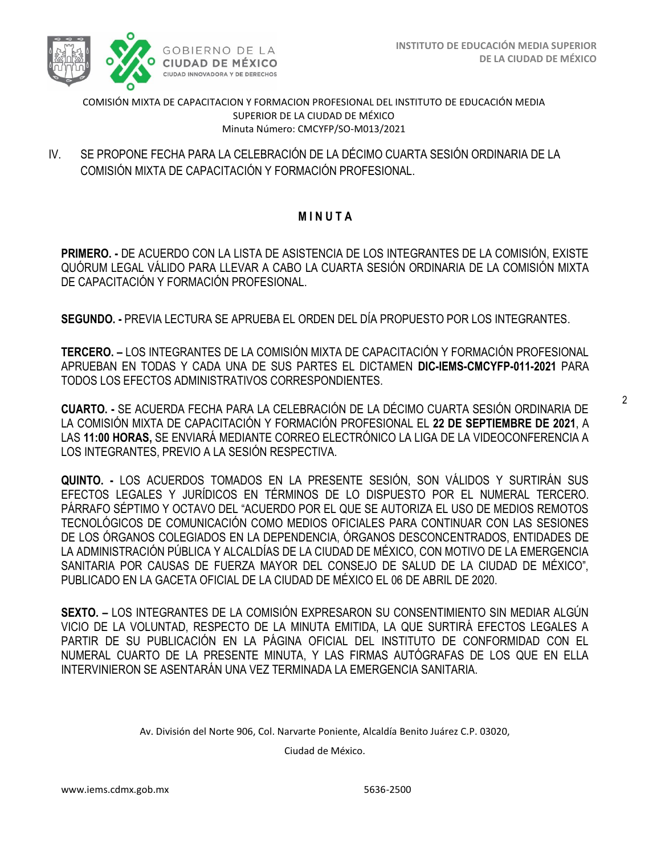

COMISIÓN MIXTA DE CAPACITACION Y FORMACION PROFESIONAL DEL INSTITUTO DE EDUCACIÓN MEDIA SUPERIOR DE LA CIUDAD DE MÉXICO Minuta Número: CMCYFP/SO-M013/2021

COMISIÓN MIXTA DE CAPACITACIÓN Y FORMACIÓN PROFESIONAL. IV. SE PROPONE FECHA PARA LA CELEBRACIÓN DE LA DÉCIMO CUARTA SESIÓN ORDINARIA DE LA

# **M I N U T A**

**PRIMERO. -** DE ACUERDO CON LA LISTA DE ASISTENCIA DE LOS INTEGRANTES DE LA COMISIÓN, EXISTE QUÓRUM LEGAL VÁLIDO PARA LLEVAR A CABO LA CUARTA SESIÓN ORDINARIA DE LA COMISIÓN MIXTA DE CAPACITACIÓN Y FORMACIÓN PROFESIONAL.

**SEGUNDO. -** PREVIA LECTURA SE APRUEBA EL ORDEN DEL DÍA PROPUESTO POR LOS INTEGRANTES.

**TERCERO. –** LOS INTEGRANTES DE LA COMISIÓN MIXTA DE CAPACITACIÓN Y FORMACIÓN PROFESIONAL APRUEBAN EN TODAS Y CADA UNA DE SUS PARTES EL DICTAMEN **DIC-IEMS-CMCYFP-011-2021** PARA TODOS LOS EFECTOS ADMINISTRATIVOS CORRESPONDIENTES.

**CUARTO. -** SE ACUERDA FECHA PARA LA CELEBRACIÓN DE LA DÉCIMO CUARTA SESIÓN ORDINARIA DE LA COMISIÓN MIXTA DE CAPACITACIÓN Y FORMACIÓN PROFESIONAL EL **22 DE SEPTIEMBRE DE 2021**, A LAS **11:00 HORAS,** SE ENVIARÁ MEDIANTE CORREO ELECTRÓNICO LA LIGA DE LA VIDEOCONFERENCIA A LOS INTEGRANTES, PREVIO A LA SESIÓN RESPECTIVA.

**QUINTO. -** LOS ACUERDOS TOMADOS EN LA PRESENTE SESIÓN, SON VÁLIDOS Y SURTIRÁN SUS EFECTOS LEGALES Y JURÍDICOS EN TÉRMINOS DE LO DISPUESTO POR EL NUMERAL TERCERO. PÁRRAFO SÉPTIMO Y OCTAVO DEL "ACUERDO POR EL QUE SE AUTORIZA EL USO DE MEDIOS REMOTOS TECNOLÓGICOS DE COMUNICACIÓN COMO MEDIOS OFICIALES PARA CONTINUAR CON LAS SESIONES DE LOS ÓRGANOS COLEGIADOS EN LA DEPENDENCIA, ÓRGANOS DESCONCENTRADOS, ENTIDADES DE LA ADMINISTRACIÓN PÚBLICA Y ALCALDÍAS DE LA CIUDAD DE MÉXICO, CON MOTIVO DE LA EMERGENCIA SANITARIA POR CAUSAS DE FUERZA MAYOR DEL CONSEJO DE SALUD DE LA CIUDAD DE MÉXICO", PUBLICADO EN LA GACETA OFICIAL DE LA CIUDAD DE MÉXICO EL 06 DE ABRIL DE 2020.

**SEXTO. –** LOS INTEGRANTES DE LA COMISIÓN EXPRESARON SU CONSENTIMIENTO SIN MEDIAR ALGÚN VICIO DE LA VOLUNTAD, RESPECTO DE LA MINUTA EMITIDA, LA QUE SURTIRÁ EFECTOS LEGALES A PARTIR DE SU PUBLICACIÓN EN LA PÁGINA OFICIAL DEL INSTITUTO DE CONFORMIDAD CON EL NUMERAL CUARTO DE LA PRESENTE MINUTA, Y LAS FIRMAS AUTÓGRAFAS DE LOS QUE EN ELLA INTERVINIERON SE ASENTARÁN UNA VEZ TERMINADA LA EMERGENCIA SANITARIA.

Av. División del Norte 906, Col. Narvarte Poniente, Alcaldía Benito Juárez C.P. 03020,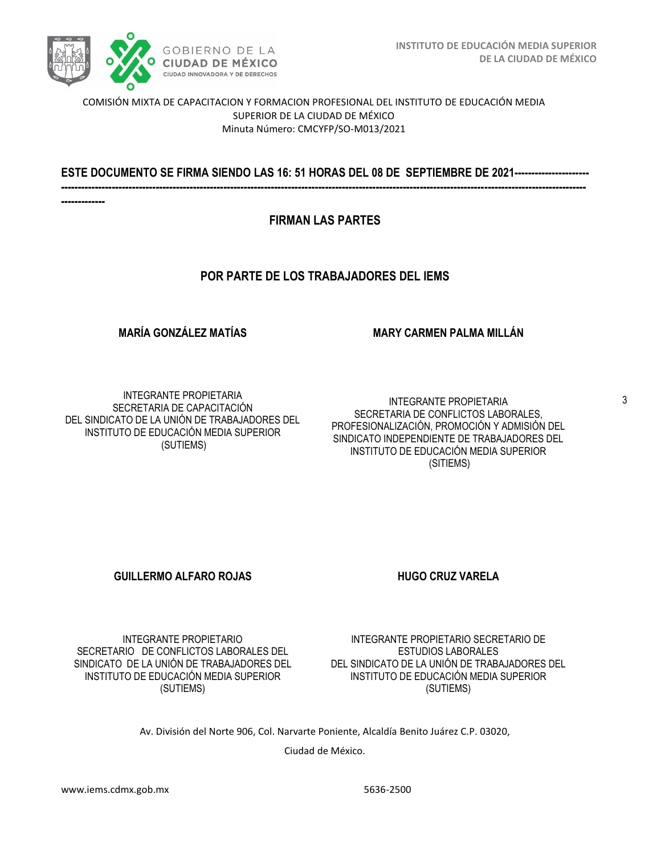

COMISIÓN MIXTA DE CAPACITACION Y FORMACION PROFESIONAL DEL INSTITUTO DE EDUCACIÓN MEDIA SUPERIOR DE LA CIUDAD DE MÉXICO Minuta Número: CMCYFP/SO-M013/2021

/2020 **ESTE DOCUMENTO SE FIRMA SIENDO LAS 16: 51 HORAS DEL 08 DE SEPTIEMBRE DE 2021---------------------- -----------------------------------------------------------------------------------------------------------------------------------------------------------**

**-------------**

### **FIRMAN LAS PARTES**

### **POR PARTE DE LOS TRABAJADORES DEL IEMS**

**MARÍA GONZÁLEZ MATÍAS** 

#### **MARY CARMEN PALMA MILLÁN**

INTEGRANTE PROPIETARIA SECRETARIA DE CAPACITACIÓN DEL SINDICATO DE LA UNIÓN DE TRABAJADORES DEL INSTITUTO DE EDUCACIÓN MEDIA SUPERIOR (SUTIEMS)

INTEGRANTE PROPIETARIA SECRETARIA DE CONFLICTOS LABORALES, PROFESIONALIZACIÓN, PROMOCIÓN Y ADMISIÓN DEL SINDICATO INDEPENDIENTE DE TRABAJADORES DEL INSTITUTO DE EDUCACIÓN MEDIA SUPERIOR (SITIEMS)

#### **GUILLERMO ALFARO ROJAS HUGO CRUZ VARELA**

INTEGRANTE PROPIETARIO SECRETARIO DE CONFLICTOS LABORALES DEL SINDICATO DE LA UNIÓN DE TRABAJADORES DEL INSTITUTO DE EDUCACIÓN MEDIA SUPERIOR (SUTIEMS)

INTEGRANTE PROPIETARIO SECRETARIO DE ESTUDIOS LABORALES DEL SINDICATO DE LA UNIÓN DE TRABAJADORES DEL INSTITUTO DE EDUCACIÓN MEDIA SUPERIOR (SUTIEMS)

Av. División del Norte 906, Col. Narvarte Poniente, Alcaldía Benito Juárez C.P. 03020,